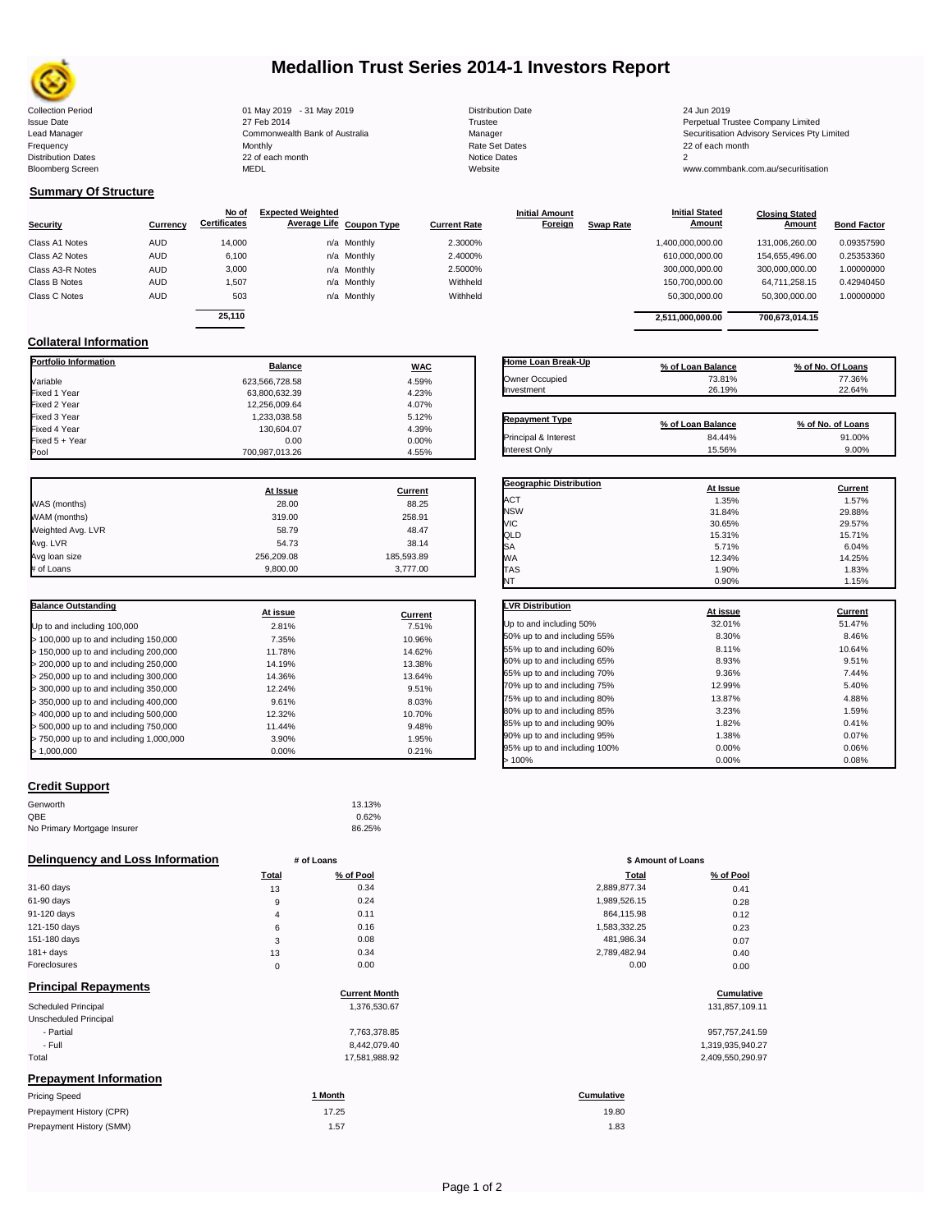

# **Medallion Trust Series 2014-1 Investors Report**

| <b>Collection Period</b>  | 01 May 2019 - 31 May 2019      | <b>Distribution Date</b> | 24 Jun 2019                                  |
|---------------------------|--------------------------------|--------------------------|----------------------------------------------|
| <b>Issue Date</b>         | 27 Feb 2014                    | Trustee                  | Perpetual Trustee Company Limited            |
| Lead Manager              | Commonwealth Bank of Australia | Manager                  | Securitisation Advisory Services Pty Limited |
| Frequency                 | Monthly                        | Rate Set Dates           | 22 of each month                             |
| <b>Distribution Dates</b> | 22 of each month               | Notice Dates             |                                              |
| <b>Bloomberg Screen</b>   | MEDL                           | Website                  | www.commbank.com.au/securitisation           |
|                           |                                |                          |                                              |

| <b>Distribution Date</b> |
|--------------------------|
| Trustee                  |
| Manager                  |
| Rate Set Dates           |
| Notice Dates             |
| Website                  |
|                          |

**Initial Amount** 

**Closing Stated Amount**

## **Summary Of Structure**

**Collateral Information**

|                  |            | No of               | <b>Expected Weighted</b> |                     | <b>Initial Amount</b> |                  | <b>Initial Stated</b> | <b>Closing Stated</b> |                    |
|------------------|------------|---------------------|--------------------------|---------------------|-----------------------|------------------|-----------------------|-----------------------|--------------------|
| <b>Security</b>  | Currency   | <b>Certificates</b> | Average Life Coupon Type | <b>Current Rate</b> | Foreign               | <b>Swap Rate</b> | <b>Amount</b>         | <b>Amount</b>         | <b>Bond Factor</b> |
| Class A1 Notes   | <b>AUD</b> | 14.000              | n/a Monthly              | 2.3000%             |                       |                  | 1,400,000,000.00      | 131.006.260.00        | 0.09357590         |
| Class A2 Notes   | <b>AUD</b> | 6,100               | n/a Monthly              | 2.4000%             |                       |                  | 610,000,000.00        | 154,655,496.00        | 0.25353360         |
| Class A3-R Notes | <b>AUD</b> | 3,000               | n/a Monthly              | 2.5000%             |                       |                  | 300,000,000.00        | 300,000,000.00        | 1.00000000         |
| Class B Notes    | <b>AUD</b> | 1,507               | n/a Monthly              | Withheld            |                       |                  | 150.700.000.00        | 64.711.258.15         | 0.42940450         |
| Class C Notes    | <b>AUD</b> | 503                 | n/a Monthly              | Withheld            |                       |                  | 50,300,000.00         | 50,300,000.00         | 1.00000000         |
|                  |            | 25.110              |                          |                     |                       |                  |                       |                       |                    |
|                  |            |                     |                          |                     |                       |                  | 2,511,000,000.00      | 700,673,014.15        |                    |

**Portfolio Information Balance WAC** Variable 623,566,728.58 4.59% Fixed 1 Year 63,800,632.39 4.23% Fixed 2 Year 12,256,009.64 4.07%

Fixed 5 + Year 0.00 0.00%

Fixed 3 Year 1,233,038.58 5.12%

| Home Loan Break-Up    |                   |                   |
|-----------------------|-------------------|-------------------|
|                       | % of Loan Balance | % of No. Of Loans |
| Owner Occupied        | 73.81%            | 77.36%            |
| Investment            | 26.19%            | 22.64%            |
|                       |                   |                   |
| <b>Repayment Type</b> | % of Loan Balance | % of No. of Loans |
| Principal & Interest  | 84.44%            | 91.00%            |
| Interest Only         | 15.56%            | 9.00%             |

**Geographic Distribution At Issue Current**

Interest Only 8.00% 8.00% 8.00% 9.00% 8.00% 8.00% 9.00%

**Initial Stated** 

|                   | At Issue   | Current    |
|-------------------|------------|------------|
| WAS (months)      | 28.00      | 88.25      |
| WAM (months)      | 319.00     | 258.91     |
| Weighted Avg. LVR | 58.79      | 48.47      |
| Avg. LVR          | 54.73      | 38.14      |
| Avg loan size     | 256.209.08 | 185,593.89 |
| # of Loans        | 9.800.00   | 3.777.00   |

700,987,013.26

 $\begin{array}{c} 130,604.07 \\ 0.00 \end{array}$  4.39%

| <b>Balance Outstanding</b>              | At issue | Current |
|-----------------------------------------|----------|---------|
| Up to and including 100,000             | 2.81%    | 7.51%   |
| $>$ 100,000 up to and including 150,000 | 7.35%    | 10.96%  |
| $>$ 150,000 up to and including 200,000 | 11.78%   | 14.62%  |
| > 200,000 up to and including 250,000   | 14.19%   | 13.38%  |
| > 250,000 up to and including 300,000   | 14.36%   | 13.64%  |
| $>$ 300,000 up to and including 350,000 | 12.24%   | 9.51%   |
| $>$ 350,000 up to and including 400,000 | 9.61%    | 8.03%   |
| $>$ 400,000 up to and including 500,000 | 12.32%   | 10.70%  |
| > 500,000 up to and including 750,000   | 11.44%   | 9.48%   |
| > 750,000 up to and including 1,000,000 | 3.90%    | 1.95%   |
| > 1.000.000                             | 0.00%    | 0.21%   |

| Credit Support |  |
|----------------|--|
|                |  |

| Genworth                    | 13.13% |
|-----------------------------|--------|
| QBE                         | 0.62%  |
| No Primary Mortgage Insurer | 86.25% |

### **Delinquency and Loss Information # of Loans**

|              | <b>Total</b> | % of Pool | Total        | % of Pool |
|--------------|--------------|-----------|--------------|-----------|
| 31-60 days   | 13           | 0.34      | 2,889,877.34 | 0.41      |
| 61-90 days   | 9            | 0.24      | 1,989,526.15 | 0.28      |
| 91-120 days  | 4            | 0.11      | 864,115.98   | 0.12      |
| 121-150 days | 6            | 0.16      | 1,583,332.25 | 0.23      |
| 151-180 days | 3            | 0.08      | 481,986.34   | 0.07      |
| $181 + days$ | 13           | 0.34      | 2,789,482.94 | 0.40      |
| Foreclosures | 0            | 0.00      | 0.00         | 0.00      |

## **Principal Repayments**

| <b>ΓΙΠΙ</b> υιμαι ινσμαγπισπιο | <b>Current Month</b> | Cumulative       |
|--------------------------------|----------------------|------------------|
| <b>Scheduled Principal</b>     | 1,376,530.67         | 131,857,109.11   |
| Unscheduled Principal          |                      |                  |
| - Partial                      | 7,763,378.85         | 957,757,241.59   |
| - Full                         | 8,442,079.40         | 1,319,935,940.27 |
| Total                          | 17,581,988.92        | 2,409,550,290.97 |
| <b>Prepayment Information</b>  |                      |                  |
| Pricing Speed                  | 1 Month              | Cumulative       |
|                                |                      |                  |

| Prepayment History (CPR) | 17.25 | 19.80 |
|--------------------------|-------|-------|
| Prepayment History (SMM) | 1.57  | 1.83  |

| ACT                          | 1.35%    | 1.57%          |
|------------------------------|----------|----------------|
| <b>NSW</b>                   | 31.84%   | 29.88%         |
| VIC                          | 30.65%   | 29.57%         |
| QLD                          | 15.31%   | 15.71%         |
| SA                           | 5.71%    | 6.04%          |
| <b>WA</b>                    | 12.34%   | 14.25%         |
| <b>TAS</b>                   | 1.90%    | 1.83%          |
| NT                           | 0.90%    | 1.15%          |
|                              |          |                |
| <b>LVR Distribution</b>      | At issue | <b>Current</b> |
| Up to and including 50%      | 32.01%   | 51.47%         |
| 50% up to and including 55%  | 8.30%    | 8.46%          |
| 55% up to and including 60%  | 8.11%    | 10.64%         |
| 60% up to and including 65%  | 8.93%    | 9.51%          |
| 65% up to and including 70%  | 9.36%    | 7.44%          |
| 70% up to and including 75%  | 12.99%   | 5.40%          |
| 75% up to and including 80%  | 13.87%   | 4.88%          |
| 80% up to and including 85%  | 3.23%    | 1.59%          |
| 85% up to and including 90%  | 1.82%    | 0.41%          |
| 90% up to and including 95%  | 1.38%    | 0.07%          |
| 95% up to and including 100% | 0.00%    | 0.06%          |
| >100%                        | 0.00%    | 0.08%          |

| # of Loans     |           | \$ Amount of Loans |           |  |
|----------------|-----------|--------------------|-----------|--|
| Total          | % of Pool | <b>Total</b>       | % of Pool |  |
| 13             | 0.34      | 2,889,877.34       | 0.41      |  |
| 9              | 0.24      | 1,989,526.15       | 0.28      |  |
| $\overline{4}$ | 0.11      | 864,115.98         | 0.12      |  |
| 6              | 0.16      | 1,583,332.25       | 0.23      |  |
| 3              | 0.08      | 481,986.34         | 0.07      |  |
| 13             | 0.34      | 2,789,482.94       | 0.40      |  |
| $\mathbf 0$    | 0.00      | 0.00               | 0.00      |  |

# **Cumulative Cumulative**

| 957,757,241.59   |
|------------------|
| 1,319,935,940.27 |
| 2.400 EEO 200.07 |

19.80